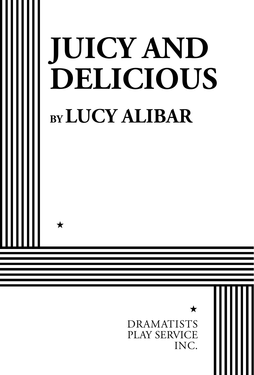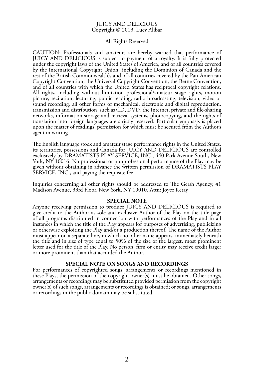### JUICY AND DELICIOUS Copyright © 2013, Lucy Alibar

### All Rights Reserved

CAUTION: Professionals and amateurs are hereby warned that performance of JUICY AND DELICIOUS is subject to payment of a royalty. It is fully protected under the copyright laws of the United States of America, and of all countries covered by the International Copyright Union (including the Dominion of Canada and the rest of the British Commonwealth), and of all countries covered by the Pan-American Copyright Convention, the Universal Copyright Convention, the Berne Convention, and of all countries with which the United States has reciprocal copyright relations. All rights, including without limitation professional/amateur stage rights, motion picture, recitation, lecturing, public reading, radio broadcasting, television, video or sound recording, all other forms of mechanical, electronic and digital reproduction, transmission and distribution, such as CD, DVD, the Internet, private and file-sharing networks, information storage and retrieval systems, photocopying, and the rights of translation into foreign languages are strictly reserved. Particular emphasis is placed upon the matter of readings, permission for which must be secured from the Author's agent in writing.

The English language stock and amateur stage performance rights in the United States, its territories, possessions and Canada for JUICY AND DELICIOUS are controlled exclusively by DRAMATISTS PLAY SERVICE, INC., 440 Park Avenue South, New York, NY 10016. No professional or nonprofessional performance of the Play may be given without obtaining in advance the written permission of DRAMATISTS PLAY SERVICE, INC., and paying the requisite fee.

Inquiries concerning all other rights should be addressed to The Gersh Agency, 41 Madison Avenue, 33rd Floor, New York, NY 10010. Attn: Joyce Ketay

#### **SPECIAL NOTE**

Anyone receiving permission to produce JUICY AND DELICIOUS is required to give credit to the Author as sole and exclusive Author of the Play on the title page of all programs distributed in connection with performances of the Play and in all instances in which the title of the Play appears for purposes of advertising, publicizing or otherwise exploiting the Play and/or a production thereof. The name of the Author must appear on a separate line, in which no other name appears, immediately beneath the title and in size of type equal to 50% of the size of the largest, most prominent letter used for the title of the Play. No person, firm or entity may receive credit larger or more prominent than that accorded the Author.

### **SPECIAL NOTE ON SONGS AND RECORDINGS**

For performances of copyrighted songs, arrangements or recordings mentioned in these Plays, the permission of the copyright owner(s) must be obtained. Other songs, arrangements or recordings may be substituted provided permission from the copyright owner(s) of such songs, arrangements or recordings is obtained; or songs, arrangements or recordings in the public domain may be substituted.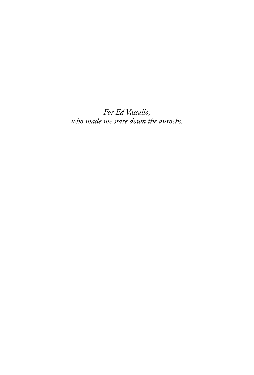*For Ed Vassallo, who made me stare down the aurochs.*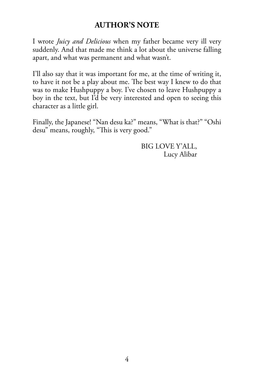## **AUTHOR'S NOTE**

I wrote *Juicy and Delicious* when my father became very ill very suddenly. And that made me think a lot about the universe falling apart, and what was permanent and what wasn't.

I'll also say that it was important for me, at the time of writing it, to have it not be a play about me. The best way I knew to do that was to make Hushpuppy a boy. I've chosen to leave Hushpuppy a boy in the text, but I'd be very interested and open to seeing this character as a little girl.

Finally, the Japanese! "Nan desu ka?" means, "What is that?" "Oshi desu" means, roughly, "This is very good."

> BIG LOVE Y'ALL, Lucy Alibar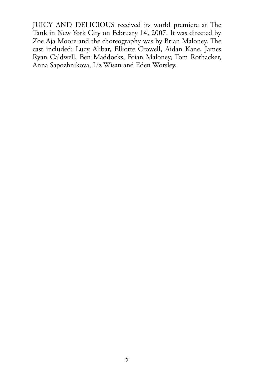JUICY AND DELICIOUS received its world premiere at The Tank in New York City on February 14, 2007. It was directed by Zoe Aja Moore and the choreography was by Brian Maloney. The cast included: Lucy Alibar, Elliotte Crowell, Aidan Kane, James Ryan Caldwell, Ben Maddocks, Brian Maloney, Tom Rothacker, Anna Sapozhnikova, Liz Wisan and Eden Worsley.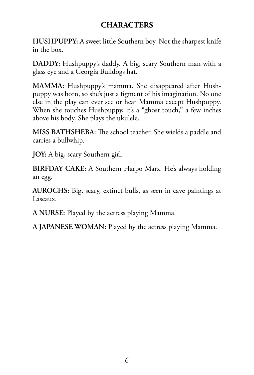## **CHARACTERS**

**HUSHPUPPY:** A sweet little Southern boy. Not the sharpest knife in the box.

**DADDY:** Hushpuppy's daddy. A big, scary Southern man with a glass eye and a Georgia Bulldogs hat.

**MAMMA:** Hushpuppy's mamma. She disappeared after Hushpuppy was born, so she's just a figment of his imagination. No one else in the play can ever see or hear Mamma except Hushpuppy. When she touches Hushpuppy, it's a "ghost touch," a few inches above his body. She plays the ukulele.

**MISS BATHSHEBA:** The school teacher. She wields a paddle and carries a bullwhip.

**JOY:** A big, scary Southern girl.

**BIRFDAY CAKE:** A Southern Harpo Marx. He's always holding an egg.

**AUROCHS:** Big, scary, extinct bulls, as seen in cave paintings at Lascaux.

**A NURSE:** Played by the actress playing Mamma.

**A JAPANESE WOMAN:** Played by the actress playing Mamma.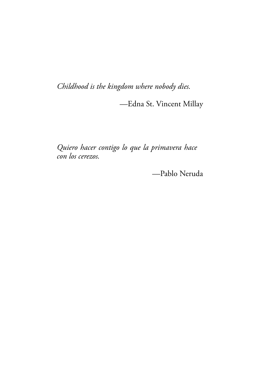*Childhood is the kingdom where nobody dies.*

—Edna St. Vincent Millay

*Quiero hacer contigo lo que la primavera hace con los cerezos.*

—Pablo Neruda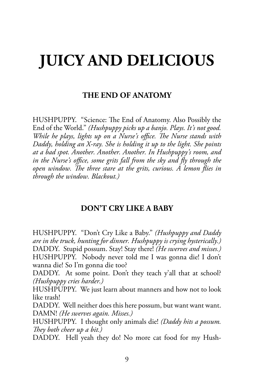# **JUICY AND DELICIOUS**

### **THE END OF ANATOMY**

HUSHPUPPY. "Science: The End of Anatomy. Also Possibly the End of the World." *(Hushpuppy picks up a banjo. Plays. It's not good. While he plays, lights up on a Nurse's office. The Nurse stands with Daddy, holding an X-ray. She is holding it up to the light. She points at a bad spot. Another. Another. Another. In Hushpuppy's room, and*  in the Nurse's office, some grits fall from the sky and fly through the *open window. The three stare at the grits, curious. A lemon flies in through the window. Blackout.)*

### **DON'T CRY LIKE A BABY**

HUSHPUPPY. "Don't Cry Like a Baby." *(Hushpuppy and Daddy are in the truck, hunting for dinner. Hushpuppy is crying hysterically.)* DADDY. Stupid possum. Stay! Stay there! *(He swerves and misses.)* HUSHPUPPY. Nobody never told me I was gonna die! I don't wanna die! So I'm gonna die too?

DADDY. At some point. Don't they teach y'all that at school? *(Hushpuppy cries harder.)*

HUSHPUPPY. We just learn about manners and how not to look like trash!

DADDY. Well neither does this here possum, but want want want. DAMN! *(He swerves again. Misses.)*

HUSHPUPPY. I thought only animals die! *(Daddy hits a possum. They both cheer up a bit.)*

DADDY. Hell yeah they do! No more cat food for my Hush-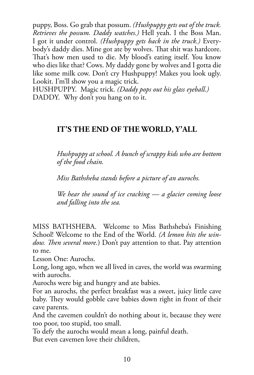puppy, Boss. Go grab that possum. *(Hushpuppy gets out of the truck. Retrieves the possum. Daddy watches.)* Hell yeah. I the Boss Man. I got it under control. *(Hushpuppy gets back in the truck.)* Everybody's daddy dies. Mine got ate by wolves. That shit was hardcore. That's how men used to die. My blood's eating itself. You know who dies like that? Cows. My daddy gone by wolves and I gotta die like some milk cow. Don't cry Hushpuppy! Makes you look ugly. Lookit. I'm'll show you a magic trick.

HUSHPUPPY. Magic trick. *(Daddy pops out his glass eyeball.)* DADDY. Why don't you hang on to it.

## **IT'S THE END OF THE WORLD, Y'ALL**

*Hushpuppy at school. A bunch of scrappy kids who are bottom of the food chain.* 

*Miss Bathsheba stands before a picture of an aurochs.* 

*We hear the sound of ice cracking — a glacier coming loose and falling into the sea.*

MISS BATHSHEBA. Welcome to Miss Bathsheba's Finishing School! Welcome to the End of the World. *(A lemon hits the window. Then several more.*) Don't pay attention to that. Pay attention to me.

Lesson One: Aurochs.

Long, long ago, when we all lived in caves, the world was swarming with aurochs.

Aurochs were big and hungry and ate babies.

For an aurochs, the perfect breakfast was a sweet, juicy little cave baby. They would gobble cave babies down right in front of their cave parents.

And the cavemen couldn't do nothing about it, because they were too poor, too stupid, too small.

To defy the aurochs would mean a long, painful death.

But even cavemen love their children,